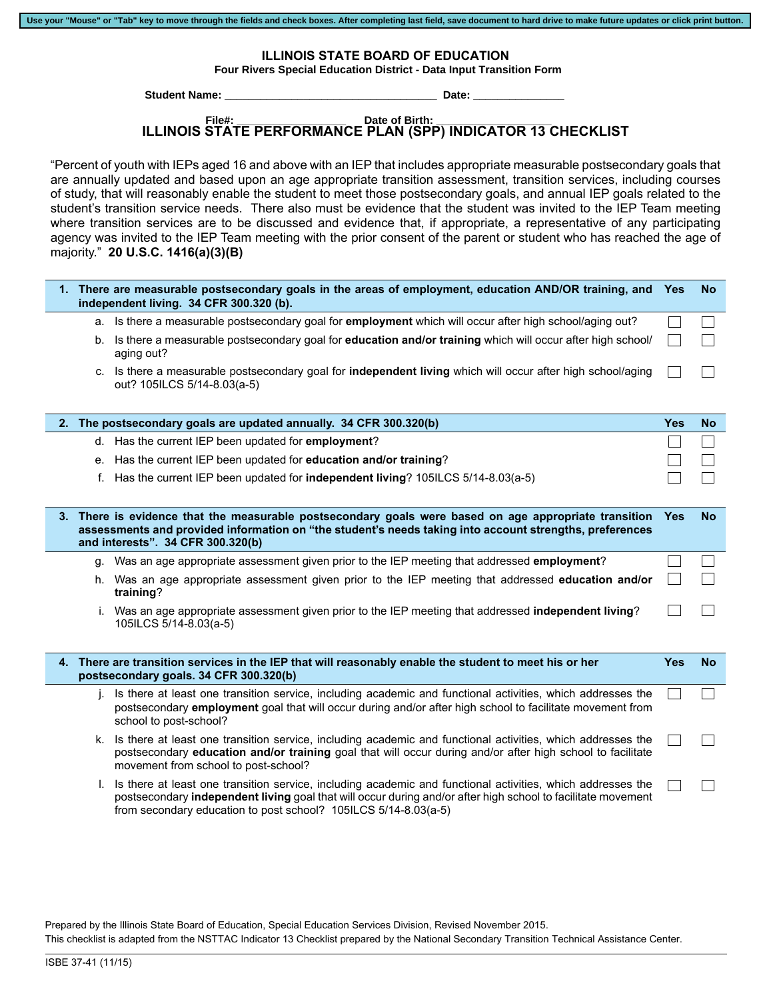|  | Use your "Mouse" or "Tab" key to move through the fields and check boxes. After completing last field, save document to hard drive to make future updates or click print button. |  |
|--|----------------------------------------------------------------------------------------------------------------------------------------------------------------------------------|--|
|  |                                                                                                                                                                                  |  |

**ILLINOIS STATE BOARD OF EDUCATION**

Four Rivers Special Education District - Data Input Transition Form

 **Student Name: \_\_\_\_\_\_\_\_\_\_\_\_\_\_\_\_\_\_\_\_\_\_\_\_\_\_\_\_\_\_\_\_\_\_\_ Date: \_\_\_\_\_\_\_\_\_\_\_\_\_\_\_**

100 North First Street, N-253<br>100 North First Street, N-253<br>100 North First Street, N-253 <u>September 1988</u> - Date:

## **ILLINOIS STATE PERFORMANCE PLAN (SPP) INDICATOR 13 CHECKLIST File#: \_\_\_\_\_\_\_\_\_\_\_\_\_\_\_\_\_\_ Date of Birth: \_\_\_\_\_\_\_\_\_\_\_\_\_\_\_\_\_\_\_**

"Percent of youth with IEPs aged 16 and above with an IEP that includes appropriate measurable postsecondary goals that are annually updated and based upon an age appropriate transition assessment, transition services, including courses of study, that will reasonably enable the student to meet those postsecondary goals, and annual IEP goals related to the student's transition service needs. There also must be evidence that the student was invited to the IEP Team meeting where transition services are to be discussed and evidence that, if appropriate, a representative of any participating agency was invited to the IEP Team meeting with the prior consent of the parent or student who has reached the age of majority." **20 U.S.C. 1416(a)(3)(B)**

|    | 1. There are measurable postsecondary goals in the areas of employment, education AND/OR training, and Yes<br>independent living. 34 CFR 300.320 (b).                                                                                                                                          |            | <b>No</b> |
|----|------------------------------------------------------------------------------------------------------------------------------------------------------------------------------------------------------------------------------------------------------------------------------------------------|------------|-----------|
|    | a. Is there a measurable postsecondary goal for employment which will occur after high school/aging out?                                                                                                                                                                                       |            |           |
|    | b. Is there a measurable postsecondary goal for education and/or training which will occur after high school/<br>aging out?                                                                                                                                                                    |            |           |
|    | c. Is there a measurable postsecondary goal for independent living which will occur after high school/aging<br>out? 105ILCS 5/14-8.03(a-5)                                                                                                                                                     |            |           |
|    | 2. The postsecondary goals are updated annually. 34 CFR 300.320(b)                                                                                                                                                                                                                             | <b>Yes</b> | <b>No</b> |
|    | d. Has the current IEP been updated for employment?                                                                                                                                                                                                                                            |            |           |
|    | e. Has the current IEP been updated for education and/or training?                                                                                                                                                                                                                             |            |           |
|    | f. Has the current IEP been updated for independent living? 105ILCS 5/14-8.03(a-5)                                                                                                                                                                                                             |            |           |
|    |                                                                                                                                                                                                                                                                                                |            |           |
|    | 3. There is evidence that the measurable postsecondary goals were based on age appropriate transition                                                                                                                                                                                          | <b>Yes</b> | <b>No</b> |
|    | assessments and provided information on "the student's needs taking into account strengths, preferences<br>and interests". 34 CFR 300.320(b)                                                                                                                                                   |            |           |
|    | g. Was an age appropriate assessment given prior to the IEP meeting that addressed <b>employment</b> ?                                                                                                                                                                                         |            |           |
|    | h. Was an age appropriate assessment given prior to the IEP meeting that addressed education and/or<br>training?                                                                                                                                                                               |            |           |
|    | i. Was an age appropriate assessment given prior to the IEP meeting that addressed independent living?<br>105ILCS 5/14-8.03(a-5)                                                                                                                                                               |            |           |
|    |                                                                                                                                                                                                                                                                                                |            |           |
|    | 4. There are transition services in the IEP that will reasonably enable the student to meet his or her<br>postsecondary goals. 34 CFR 300.320(b)                                                                                                                                               | <b>Yes</b> | <b>No</b> |
| i. | Is there at least one transition service, including academic and functional activities, which addresses the<br>postsecondary employment goal that will occur during and/or after high school to facilitate movement from<br>school to post-school?                                             |            |           |
|    | k. Is there at least one transition service, including academic and functional activities, which addresses the<br>postsecondary education and/or training goal that will occur during and/or after high school to facilitate<br>movement from school to post-school?                           |            |           |
| L. | Is there at least one transition service, including academic and functional activities, which addresses the<br>postsecondary independent living goal that will occur during and/or after high school to facilitate movement<br>from secondary education to post school? 105ILCS 5/14-8.03(a-5) |            |           |

Prepared by the Illinois State Board of Education, Special Education Services Division, Revised November 2015. This checklist is adapted from the NSTTAC Indicator 13 Checklist prepared by the National Secondary Transition Technical Assistance Center.